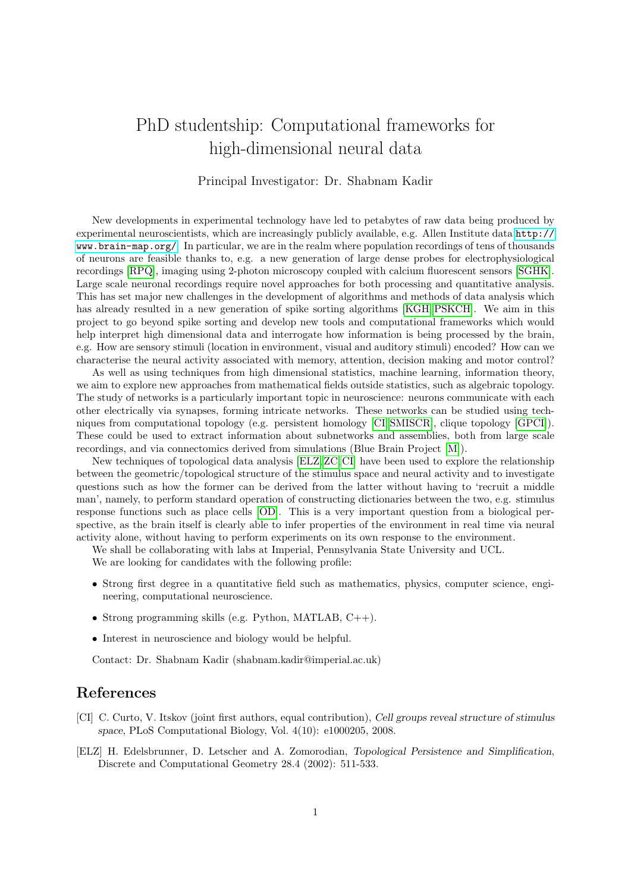## PhD studentship: Computational frameworks for high-dimensional neural data

## Principal Investigator: Dr. Shabnam Kadir

New developments in experimental technology have led to petabytes of raw data being produced by experimental neuroscientists, which are increasingly publicly available, e.g. Allen Institute data [http://](http://www.brain-map.org/) [www.brain-map.org/](http://www.brain-map.org/). In particular, we are in the realm where population recordings of tens of thousands of neurons are feasible thanks to, e.g. a new generation of large dense probes for electrophysiological recordings [\[RPQ\]](#page-1-0), imaging using 2-photon microscopy coupled with calcium fluorescent sensors [\[SGHK\]](#page-1-1). Large scale neuronal recordings require novel approaches for both processing and quantitative analysis. This has set major new challenges in the development of algorithms and methods of data analysis which has already resulted in a new generation of spike sorting algorithms [\[KGH,](#page-1-2) [PSKCH\]](#page-1-3). We aim in this project to go beyond spike sorting and develop new tools and computational frameworks which would help interpret high dimensional data and interrogate how information is being processed by the brain, e.g. How are sensory stimuli (location in environment, visual and auditory stimuli) encoded? How can we characterise the neural activity associated with memory, attention, decision making and motor control?

As well as using techniques from high dimensional statistics, machine learning, information theory, we aim to explore new approaches from mathematical fields outside statistics, such as algebraic topology. The study of networks is a particularly important topic in neuroscience: neurons communicate with each other electrically via synapses, forming intricate networks. These networks can be studied using techniques from computational topology (e.g. persistent homology [\[CI,](#page-0-0) [SMISCR\]](#page-1-4), clique topology [\[GPCI\]](#page-1-5)). These could be used to extract information about subnetworks and assemblies, both from large scale recordings, and via connectomics derived from simulations (Blue Brain Project [\[M\]](#page-1-6)).

New techniques of topological data analysis [\[ELZ,](#page-0-1)[ZC,](#page-1-7) [CI\]](#page-0-0) have been used to explore the relationship between the geometric/topological structure of the stimulus space and neural activity and to investigate questions such as how the former can be derived from the latter without having to 'recruit a middle man', namely, to perform standard operation of constructing dictionaries between the two, e.g. stimulus response functions such as place cells [\[OD\]](#page-1-8). This is a very important question from a biological perspective, as the brain itself is clearly able to infer properties of the environment in real time via neural activity alone, without having to perform experiments on its own response to the environment.

We shall be collaborating with labs at Imperial, Pennsylvania State University and UCL.

We are looking for candidates with the following profile:

- Strong first degree in a quantitative field such as mathematics, physics, computer science, engineering, computational neuroscience.
- Strong programming skills (e.g. Python, MATLAB, C++).
- Interest in neuroscience and biology would be helpful.

Contact: Dr. Shabnam Kadir (shabnam.kadir@imperial.ac.uk)

## References

- <span id="page-0-0"></span>[CI] C. Curto, V. Itskov (joint first authors, equal contribution), Cell groups reveal structure of stimulus space, PLoS Computational Biology, Vol. 4(10): e1000205, 2008.
- <span id="page-0-1"></span>[ELZ] H. Edelsbrunner, D. Letscher and A. Zomorodian, Topological Persistence and Simplification, Discrete and Computational Geometry 28.4 (2002): 511-533.